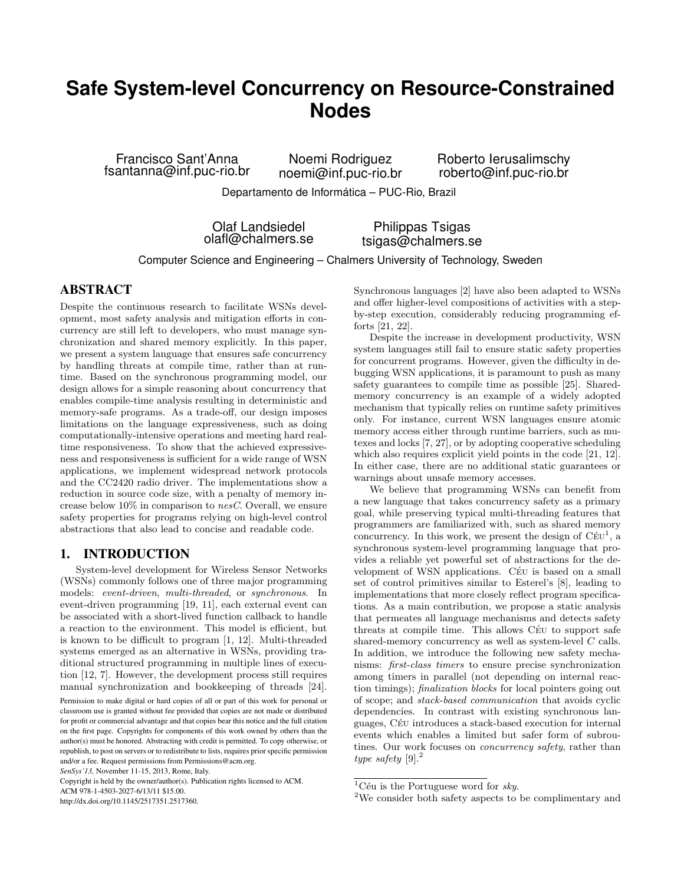# **Safe System-level Concurrency on Resource-Constrained Nodes**

Francisco Sant'Anna fsantanna@inf.puc-rio.br

Noemi Rodriguez noemi@inf.puc-rio.br Roberto Ierusalimschy roberto@inf.puc-rio.br

Departamento de Informática – PUC-Rio, Brazil

Olaf Landsiedel olafl@chalmers.se

Philippas Tsigas tsigas@chalmers.se

Computer Science and Engineering – Chalmers University of Technology, Sweden

## ABSTRACT

Despite the continuous research to facilitate WSNs development, most safety analysis and mitigation efforts in concurrency are still left to developers, who must manage synchronization and shared memory explicitly. In this paper, we present a system language that ensures safe concurrency by handling threats at compile time, rather than at runtime. Based on the synchronous programming model, our design allows for a simple reasoning about concurrency that enables compile-time analysis resulting in deterministic and memory-safe programs. As a trade-off, our design imposes limitations on the language expressiveness, such as doing computationally-intensive operations and meeting hard realtime responsiveness. To show that the achieved expressiveness and responsiveness is sufficient for a wide range of WSN applications, we implement widespread network protocols and the CC2420 radio driver. The implementations show a reduction in source code size, with a penalty of memory increase below  $10\%$  in comparison to *nesC*. Overall, we ensure safety properties for programs relying on high-level control abstractions that also lead to concise and readable code.

## 1. INTRODUCTION

System-level development for Wireless Sensor Networks (WSNs) commonly follows one of three major programming models: event-driven, multi-threaded, or synchronous. In event-driven programming [19, 11], each external event can be associated with a short-lived function callback to handle a reaction to the environment. This model is efficient, but is known to be difficult to program [1, 12]. Multi-threaded systems emerged as an alternative in WSNs, providing traditional structured programming in multiple lines of execution [12, 7]. However, the development process still requires manual synchronization and bookkeeping of threads [24].

Copyright is held by the owner/author(s). Publication rights licensed to ACM.

ACM 978-1-4503-2027-6/13/11 \$15.00.

http://dx.doi.org/10.1145/2517351.2517360.

Synchronous languages [2] have also been adapted to WSNs and offer higher-level compositions of activities with a stepby-step execution, considerably reducing programming efforts [21, 22].

Despite the increase in development productivity, WSN system languages still fail to ensure static safety properties for concurrent programs. However, given the difficulty in debugging WSN applications, it is paramount to push as many safety guarantees to compile time as possible [25]. Sharedmemory concurrency is an example of a widely adopted mechanism that typically relies on runtime safety primitives only. For instance, current WSN languages ensure atomic memory access either through runtime barriers, such as mutexes and locks [7, 27], or by adopting cooperative scheduling which also requires explicit yield points in the code [21, 12]. In either case, there are no additional static guarantees or warnings about unsafe memory accesses.

We believe that programming WSNs can benefit from a new language that takes concurrency safety as a primary goal, while preserving typical multi-threading features that programmers are familiarized with, such as shared memory concurrency. In this work, we present the design of  $C E U<sup>1</sup>$ , a synchronous system-level programming language that provides a reliable yet powerful set of abstractions for the development of WSN applications. CÉU is based on a small set of control primitives similar to Esterel's [8], leading to implementations that more closely reflect program specifications. As a main contribution, we propose a static analysis that permeates all language mechanisms and detects safety threats at compile time. This allows C<sub>EU</sub> to support safe shared-memory concurrency as well as system-level C calls. In addition, we introduce the following new safety mechanisms: first-class timers to ensure precise synchronization among timers in parallel (not depending on internal reaction timings); finalization blocks for local pointers going out of scope; and stack-based communication that avoids cyclic dependencies. In contrast with existing synchronous languages, CÉU introduces a stack-based execution for internal events which enables a limited but safer form of subroutines. Our work focuses on *concurrency safety*, rather than type safety  $[9].^2$ 

Permission to make digital or hard copies of all or part of this work for personal or classroom use is granted without fee provided that copies are not made or distributed for profit or commercial advantage and that copies bear this notice and the full citation on the first page. Copyrights for components of this work owned by others than the author(s) must be honored. Abstracting with credit is permitted. To copy otherwise, or republish, to post on servers or to redistribute to lists, requires prior specific permission and/or a fee. Request permissions from Permissions@acm.org.

*SenSys'13,* November 11-15, 2013, Rome, Italy.

<sup>&</sup>lt;sup>1</sup>Céu is the Portuguese word for sky.

<sup>2</sup>We consider both safety aspects to be complimentary and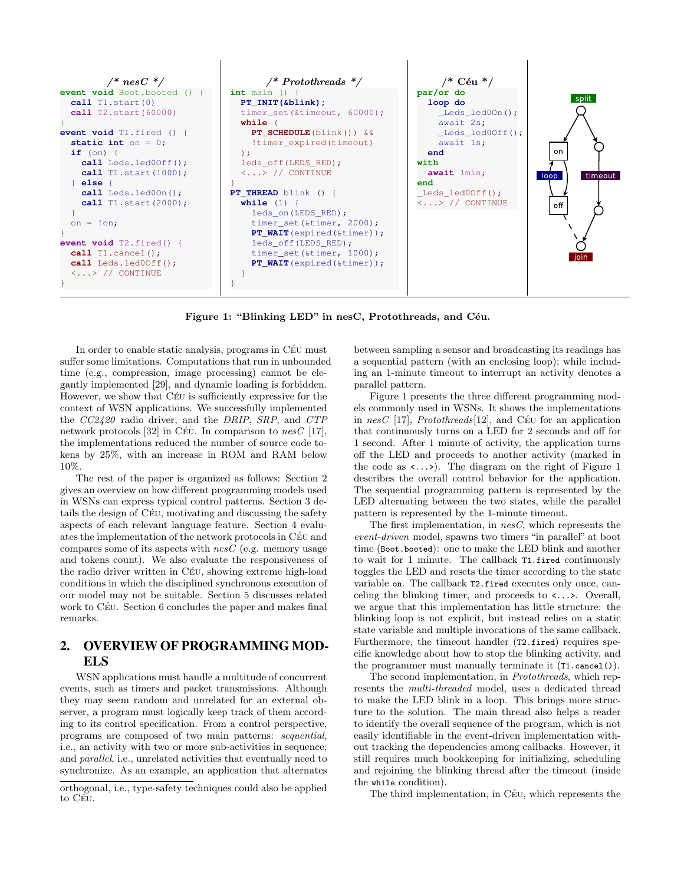

Figure 1: "Blinking LED" in nesC, Protothreads, and Céu.

In order to enable static analysis, programs in Céu must suffer some limitations. Computations that run in unbounded time (e.g., compression, image processing) cannot be elegantly implemented [29], and dynamic loading is forbidden. However, we show that CEU is sufficiently expressive for the context of WSN applications. We successfully implemented the CC2420 radio driver, and the DRIP, SRP, and CTP network protocols [32] in Céu. In comparison to nesC [17], the implementations reduced the number of source code tokens by 25%, with an increase in ROM and RAM below 10%.

The rest of the paper is organized as follows: Section 2 gives an overview on how different programming models used in WSNs can express typical control patterns. Section 3 details the design of CEU, motivating and discussing the safety aspects of each relevant language feature. Section 4 evaluates the implementation of the network protocols in CEU and compares some of its aspects with  $nesC$  (e.g. memory usage and tokens count). We also evaluate the responsiveness of the radio driver written in CÉU, showing extreme high-load conditions in which the disciplined synchronous execution of our model may not be suitable. Section 5 discusses related work to CÉU. Section 6 concludes the paper and makes final remarks.

## 2. OVERVIEW OF PROGRAMMING MOD-ELS

WSN applications must handle a multitude of concurrent events, such as timers and packet transmissions. Although they may seem random and unrelated for an external observer, a program must logically keep track of them according to its control specification. From a control perspective, programs are composed of two main patterns: sequential, i.e., an activity with two or more sub-activities in sequence; and parallel, i.e., unrelated activities that eventually need to synchronize. As an example, an application that alternates

orthogonal, i.e., type-safety techniques could also be applied to Céu.

between sampling a sensor and broadcasting its readings has a sequential pattern (with an enclosing loop); while including an 1-minute timeout to interrupt an activity denotes a parallel pattern.

Figure 1 presents the three different programming models commonly used in WSNs. It shows the implementations in nesC [17], Protothreads [12], and CÉU for an application that continuously turns on a LED for 2 seconds and off for 1 second. After 1 minute of activity, the application turns off the LED and proceeds to another activity (marked in the code as  $\langle \ldots \rangle$ . The diagram on the right of Figure 1 describes the overall control behavior for the application. The sequential programming pattern is represented by the LED alternating between the two states, while the parallel pattern is represented by the 1-minute timeout.

The first implementation, in  $nesC$ , which represents the event-driven model, spawns two timers "in parallel" at boot time (Boot.booted): one to make the LED blink and another to wait for 1 minute. The callback T1.fired continuously toggles the LED and resets the timer according to the state variable on. The callback T2.fired executes only once, canceling the blinking timer, and proceeds to <...>. Overall, we argue that this implementation has little structure: the blinking loop is not explicit, but instead relies on a static state variable and multiple invocations of the same callback. Furthermore, the timeout handler (T2.fired) requires specific knowledge about how to stop the blinking activity, and the programmer must manually terminate it (T1.cancel()).

The second implementation, in Protothreads, which represents the multi-threaded model, uses a dedicated thread to make the LED blink in a loop. This brings more structure to the solution. The main thread also helps a reader to identify the overall sequence of the program, which is not easily identifiable in the event-driven implementation without tracking the dependencies among callbacks. However, it still requires much bookkeeping for initializing, scheduling and rejoining the blinking thread after the timeout (inside the while condition).

The third implementation, in CEU, which represents the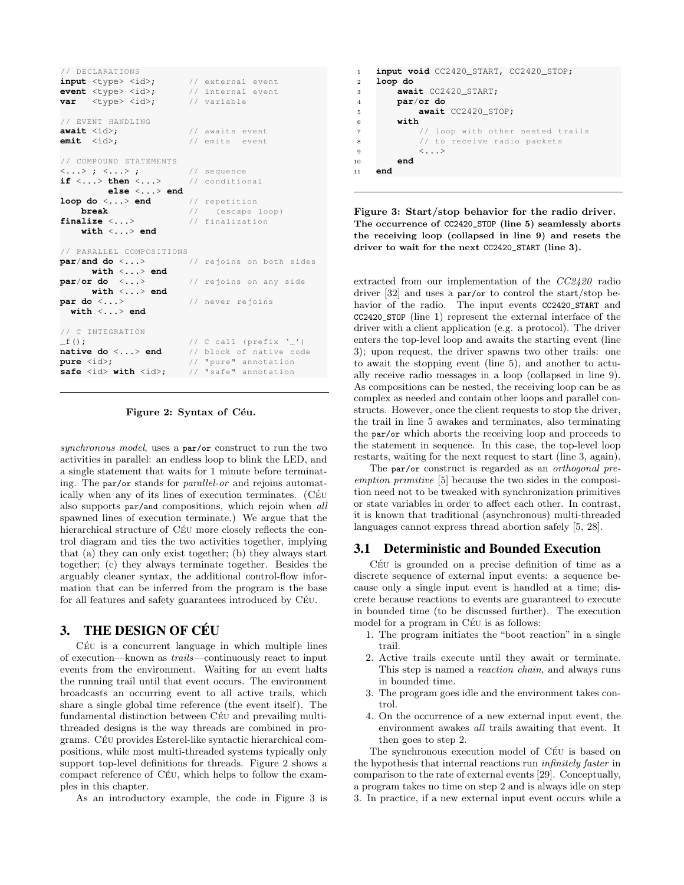```
// DECLARATIONS
input <type> <id>; // external event
event <type> <id>; // internal event
var <type> <id>; // variable
// EVENT HANDLING
await <id>; \left| \right| // awaits event
emit \langle id \rangle; // emits event
// COMPOUND STATEMENTS
\langle \ldots \rangle ; \langle \ldots \rangle ; // sequence
if <...> then <...> // conditional
        else <...> end
loop do <...> end // repetition
   break // (escape loop)
finalize <...> // finalization
   with <...> end
// PARALLEL COMPOSITIONS
par/and do <...> // rejoins on both sides
     with <...> end
par/or do <...> // rejoins on any side
with \langle \ldots \rangle end<br>par do \langle \ldots \rangle// never rejoins
  with <...> end
// C INTEGRATION
_f(); // C call (prefix '_')
native do <...> end // block of native code
pure <id>; \left| \right| // "pure" annotation
safe <id> with <id>; // "safe" annotation
```
Figure 2: Syntax of Céu.

synchronous model, uses a par/or construct to run the two activities in parallel: an endless loop to blink the LED, and a single statement that waits for 1 minute before terminating. The par/or stands for parallel-or and rejoins automatically when any of its lines of execution terminates.  $(C \⊂>U)$ also supports par/and compositions, which rejoin when all spawned lines of execution terminate.) We argue that the hierarchical structure of CÉU more closely reflects the control diagram and ties the two activities together, implying that (a) they can only exist together; (b) they always start together; (c) they always terminate together. Besides the arguably cleaner syntax, the additional control-flow information that can be inferred from the program is the base for all features and safety guarantees introduced by  $C$   $E$ U.

### 3. THE DESIGN OF CÉU

 $C$ *EU* is a concurrent language in which multiple lines of execution—known as trails—continuously react to input events from the environment. Waiting for an event halts the running trail until that event occurs. The environment broadcasts an occurring event to all active trails, which share a single global time reference (the event itself). The fundamental distinction between C<sub>EU</sub> and prevailing multithreaded designs is the way threads are combined in programs. Céu provides Esterel-like syntactic hierarchical compositions, while most multi-threaded systems typically only support top-level definitions for threads. Figure 2 shows a compact reference of CÉU, which helps to follow the examples in this chapter.

As an introductory example, the code in Figure 3 is

```
1 input void CC2420_START, CC2420_STOP;
2 loop do
3 await CC2420_START;
4 par/or do
5 await CC2420_STOP;
6 with
7 // loop with other nested trails
8 // to receive radio packets
9 \langle \ldots \rangle10 end
11 end
```
Figure 3: Start/stop behavior for the radio driver. The occurrence of CC2420\_STOP (line 5) seamlessly aborts the receiving loop (collapsed in line 9) and resets the driver to wait for the next CC2420\_START (line 3).

extracted from our implementation of the CC2420 radio driver [32] and uses a par/or to control the start/stop behavior of the radio. The input events CC2420\_START and CC2420\_STOP (line 1) represent the external interface of the driver with a client application (e.g. a protocol). The driver enters the top-level loop and awaits the starting event (line 3); upon request, the driver spawns two other trails: one to await the stopping event (line 5), and another to actually receive radio messages in a loop (collapsed in line 9). As compositions can be nested, the receiving loop can be as complex as needed and contain other loops and parallel constructs. However, once the client requests to stop the driver, the trail in line 5 awakes and terminates, also terminating the par/or which aborts the receiving loop and proceeds to the statement in sequence. In this case, the top-level loop restarts, waiting for the next request to start (line 3, again).

The par/or construct is regarded as an *orthogonal pre*emption primitive [5] because the two sides in the composition need not to be tweaked with synchronization primitives or state variables in order to affect each other. In contrast, it is known that traditional (asynchronous) multi-threaded languages cannot express thread abortion safely [5, 28].

#### 3.1 Deterministic and Bounded Execution

CEU is grounded on a precise definition of time as a discrete sequence of external input events: a sequence because only a single input event is handled at a time; discrete because reactions to events are guaranteed to execute in bounded time (to be discussed further). The execution model for a program in C<sub>EU</sub> is as follows:

- 1. The program initiates the "boot reaction" in a single trail.
- 2. Active trails execute until they await or terminate. This step is named a reaction chain, and always runs in bounded time.
- 3. The program goes idle and the environment takes control.
- 4. On the occurrence of a new external input event, the environment awakes all trails awaiting that event. It then goes to step 2.

The synchronous execution model of C<sub>EU</sub> is based on the hypothesis that internal reactions run infinitely faster in comparison to the rate of external events [29]. Conceptually, a program takes no time on step 2 and is always idle on step 3. In practice, if a new external input event occurs while a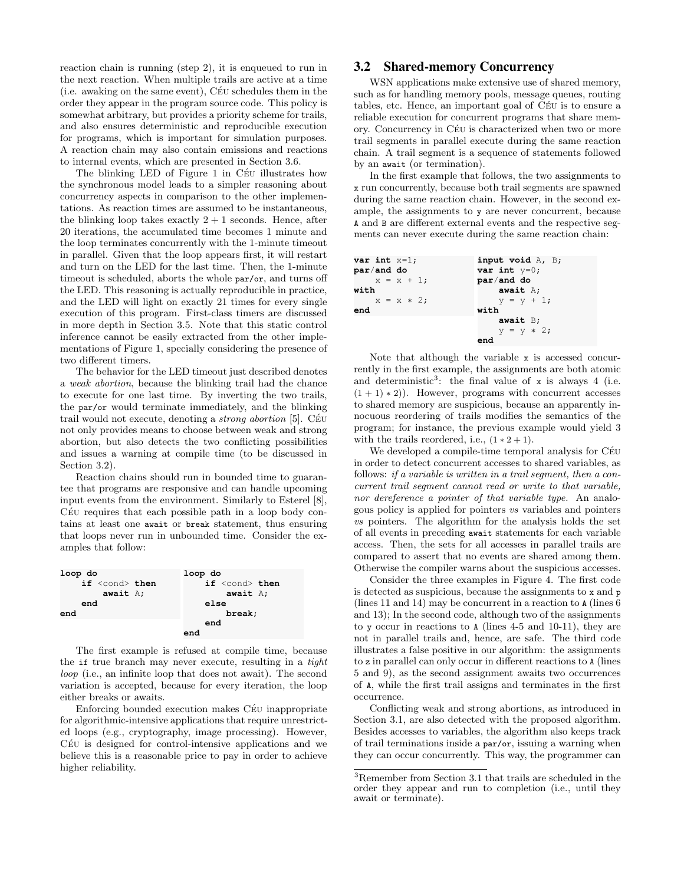reaction chain is running (step 2), it is enqueued to run in the next reaction. When multiple trails are active at a time  $(i.e.$  awaking on the same event),  $C\acute{E}U$  schedules them in the order they appear in the program source code. This policy is somewhat arbitrary, but provides a priority scheme for trails, and also ensures deterministic and reproducible execution for programs, which is important for simulation purposes. A reaction chain may also contain emissions and reactions to internal events, which are presented in Section 3.6.

The blinking LED of Figure 1 in C<sub>EU</sub> illustrates how the synchronous model leads to a simpler reasoning about concurrency aspects in comparison to the other implementations. As reaction times are assumed to be instantaneous, the blinking loop takes exactly  $2 + 1$  seconds. Hence, after 20 iterations, the accumulated time becomes 1 minute and the loop terminates concurrently with the 1-minute timeout in parallel. Given that the loop appears first, it will restart and turn on the LED for the last time. Then, the 1-minute timeout is scheduled, aborts the whole par/or, and turns off the LED. This reasoning is actually reproducible in practice, and the LED will light on exactly 21 times for every single execution of this program. First-class timers are discussed in more depth in Section 3.5. Note that this static control inference cannot be easily extracted from the other implementations of Figure 1, specially considering the presence of two different timers.

The behavior for the LED timeout just described denotes a weak abortion, because the blinking trail had the chance to execute for one last time. By inverting the two trails, the par/or would terminate immediately, and the blinking trail would not execute, denoting a *strong abortion* [5]. CEU not only provides means to choose between weak and strong abortion, but also detects the two conflicting possibilities and issues a warning at compile time (to be discussed in Section 3.2).

Reaction chains should run in bounded time to guarantee that programs are responsive and can handle upcoming input events from the environment. Similarly to Esterel [8], CEU requires that each possible path in a loop body contains at least one await or break statement, thus ensuring that loops never run in unbounded time. Consider the examples that follow:

| loop do           | loop do               |
|-------------------|-----------------------|
| if $<$ cond> then | if <cond> then</cond> |
| await $A$ ;       | await $A$ ;           |
| end               | else                  |
| end               | break;                |
|                   | end                   |
|                   |                       |

The first example is refused at compile time, because the if true branch may never execute, resulting in a tight loop (i.e., an infinite loop that does not await). The second variation is accepted, because for every iteration, the loop either breaks or awaits.

Enforcing bounded execution makes C<sub>EU</sub> inappropriate for algorithmic-intensive applications that require unrestricted loops (e.g., cryptography, image processing). However, CÉU is designed for control-intensive applications and we believe this is a reasonable price to pay in order to achieve higher reliability.

## 3.2 Shared-memory Concurrency

WSN applications make extensive use of shared memory, such as for handling memory pools, message queues, routing tables, etc. Hence, an important goal of Céu is to ensure a reliable execution for concurrent programs that share memory. Concurrency in CÉU is characterized when two or more trail segments in parallel execute during the same reaction chain. A trail segment is a sequence of statements followed by an await (or termination).

In the first example that follows, the two assignments to x run concurrently, because both trail segments are spawned during the same reaction chain. However, in the second example, the assignments to y are never concurrent, because A and B are different external events and the respective segments can never execute during the same reaction chain:

| var int $x=1$ ; |               | input void A, B; |
|-----------------|---------------|------------------|
| par/and do      |               | var int $v=0$ ;  |
|                 | $x = x + 1$ ; | par/and do       |
| with            |               | await $A$ ;      |
|                 | $x = x * 2$ ; | $y = y + 1$ ;    |
| end             |               | with             |
|                 |               | await $B$ ;      |
|                 |               | $y = y * 2;$     |
|                 |               | end              |
|                 |               |                  |

Note that although the variable x is accessed concurrently in the first example, the assignments are both atomic and deterministic<sup>3</sup>: the final value of  $x$  is always 4 (i.e.  $(1 + 1) * 2$ ). However, programs with concurrent accesses to shared memory are suspicious, because an apparently innocuous reordering of trails modifies the semantics of the program; for instance, the previous example would yield 3 with the trails reordered, i.e.,  $(1 * 2 + 1)$ .

We developed a compile-time temporal analysis for C<sub>EU</sub> in order to detect concurrent accesses to shared variables, as follows: if a variable is written in a trail segment, then a concurrent trail segment cannot read or write to that variable, nor dereference a pointer of that variable type. An analogous policy is applied for pointers vs variables and pointers vs pointers. The algorithm for the analysis holds the set of all events in preceding await statements for each variable access. Then, the sets for all accesses in parallel trails are compared to assert that no events are shared among them. Otherwise the compiler warns about the suspicious accesses.

Consider the three examples in Figure 4. The first code is detected as suspicious, because the assignments to x and p (lines 11 and 14) may be concurrent in a reaction to A (lines 6 and 13); In the second code, although two of the assignments to y occur in reactions to A (lines 4-5 and 10-11), they are not in parallel trails and, hence, are safe. The third code illustrates a false positive in our algorithm: the assignments to z in parallel can only occur in different reactions to A (lines 5 and 9), as the second assignment awaits two occurrences of A, while the first trail assigns and terminates in the first occurrence.

Conflicting weak and strong abortions, as introduced in Section 3.1, are also detected with the proposed algorithm. Besides accesses to variables, the algorithm also keeps track of trail terminations inside a par/or, issuing a warning when they can occur concurrently. This way, the programmer can

<sup>3</sup>Remember from Section 3.1 that trails are scheduled in the order they appear and run to completion (i.e., until they await or terminate).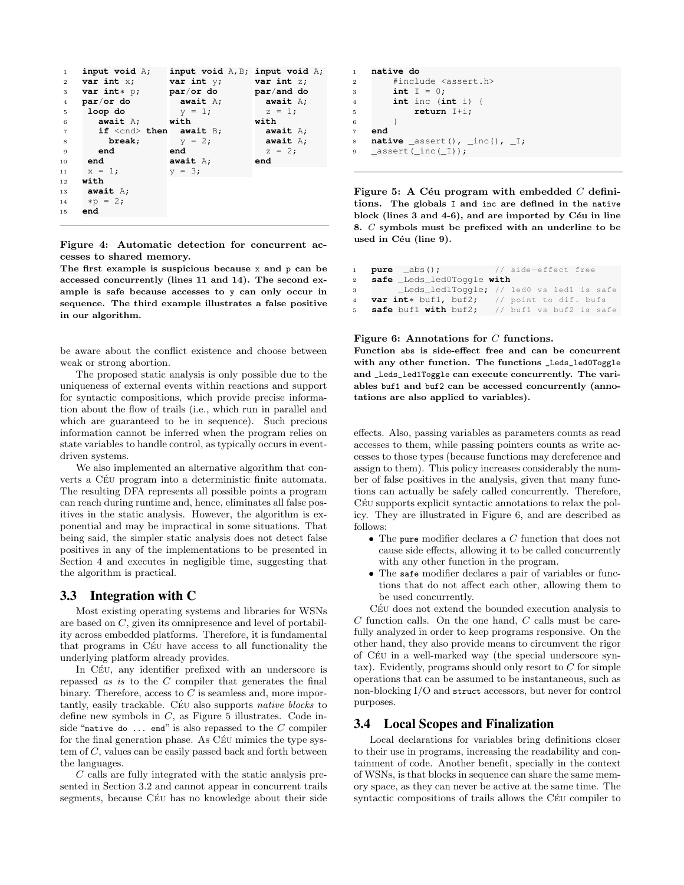```
1 input void A;
2 var int x;
3 var int∗ p;
4 par/or do
5 loop do
6 await A;
7 if <cnd> then
8 break;
9 end
10 end
11 x = 1;12 with
13 await A;
14 *p = 2;
15 end
                   input void A,B;
input void A;
                   var int y;
                   par/or do
                     await A;
                     y = 1;with
                     await B;
                     y = 2;end
                   await A;
                   y = 3;var int z;
                                  par/and do
                                    await A;
                                    z = 1;
                                  with
                                    await A;
                                    await A;
                                    z = 2;end
```
Figure 4: Automatic detection for concurrent accesses to shared memory.

The first example is suspicious because x and p can be accessed concurrently (lines 11 and 14). The second example is safe because accesses to y can only occur in sequence. The third example illustrates a false positive in our algorithm.

be aware about the conflict existence and choose between weak or strong abortion.

The proposed static analysis is only possible due to the uniqueness of external events within reactions and support for syntactic compositions, which provide precise information about the flow of trails (i.e., which run in parallel and which are guaranteed to be in sequence). Such precious information cannot be inferred when the program relies on state variables to handle control, as typically occurs in eventdriven systems.

We also implemented an alternative algorithm that converts a Céu program into a deterministic finite automata. The resulting DFA represents all possible points a program can reach during runtime and, hence, eliminates all false positives in the static analysis. However, the algorithm is exponential and may be impractical in some situations. That being said, the simpler static analysis does not detect false positives in any of the implementations to be presented in Section 4 and executes in negligible time, suggesting that the algorithm is practical.

#### 3.3 Integration with C

Most existing operating systems and libraries for WSNs are based on C, given its omnipresence and level of portability across embedded platforms. Therefore, it is fundamental that programs in C<sub>EU</sub> have access to all functionality the underlying platform already provides.

In CÉU, any identifier prefixed with an underscore is repassed as is to the  $C$  compiler that generates the final binary. Therefore, access to  $C$  is seamless and, more importantly, easily trackable. CÉU also supports native blocks to define new symbols in  $C$ , as Figure 5 illustrates. Code inside "native do  $\ldots$  end" is also repassed to the C compiler for the final generation phase. As C<sub>EU</sub> mimics the type system of C, values can be easily passed back and forth between the languages.

C calls are fully integrated with the static analysis presented in Section 3.2 and cannot appear in concurrent trails segments, because CEU has no knowledge about their side

```
1 native do
2 #include <assert.h>
3 int I = 0;
4 int inc (int i) {
5 return I+i;
6 }
7 end
8 native _assert(), _inc(), _I;
9 \quad _assert(_inc(_I));
```
Figure 5: A Céu program with embedded  $C$  definitions. The globals I and inc are defined in the native block (lines  $3$  and  $4-6$ ), and are imported by C $\acute{e}$ u in line 8. C symbols must be prefixed with an underline to be used in Céu (line 9).

```
1 pure _abs(); // side−effect free
2 safe _Leds_led0Toggle with
3 Leds_led1Toggle; // led0 vs led1 is safe
4 var int∗ buf1, buf2; // point to dif. bufs
5 safe buf1 with buf2; // buf1 vs buf2 is safe
```
#### Figure 6: Annotations for C functions.

Function abs is side-effect free and can be concurrent with any other function. The functions \_Leds\_led0Toggle and \_Leds\_led1Toggle can execute concurrently. The variables buf1 and buf2 can be accessed concurrently (annotations are also applied to variables).

effects. Also, passing variables as parameters counts as read accesses to them, while passing pointers counts as write accesses to those types (because functions may dereference and assign to them). This policy increases considerably the number of false positives in the analysis, given that many functions can actually be safely called concurrently. Therefore, CEU supports explicit syntactic annotations to relax the policy. They are illustrated in Figure 6, and are described as follows:

- The pure modifier declares a  $C$  function that does not cause side effects, allowing it to be called concurrently with any other function in the program.
- The safe modifier declares a pair of variables or functions that do not affect each other, allowing them to be used concurrently.

CÉU does not extend the bounded execution analysis to  $C$  function calls. On the one hand,  $C$  calls must be carefully analyzed in order to keep programs responsive. On the other hand, they also provide means to circumvent the rigor of Céu in a well-marked way (the special underscore syntax). Evidently, programs should only resort to  $C$  for simple operations that can be assumed to be instantaneous, such as non-blocking I/O and struct accessors, but never for control purposes.

#### 3.4 Local Scopes and Finalization

Local declarations for variables bring definitions closer to their use in programs, increasing the readability and containment of code. Another benefit, specially in the context of WSNs, is that blocks in sequence can share the same memory space, as they can never be active at the same time. The syntactic compositions of trails allows the CEU compiler to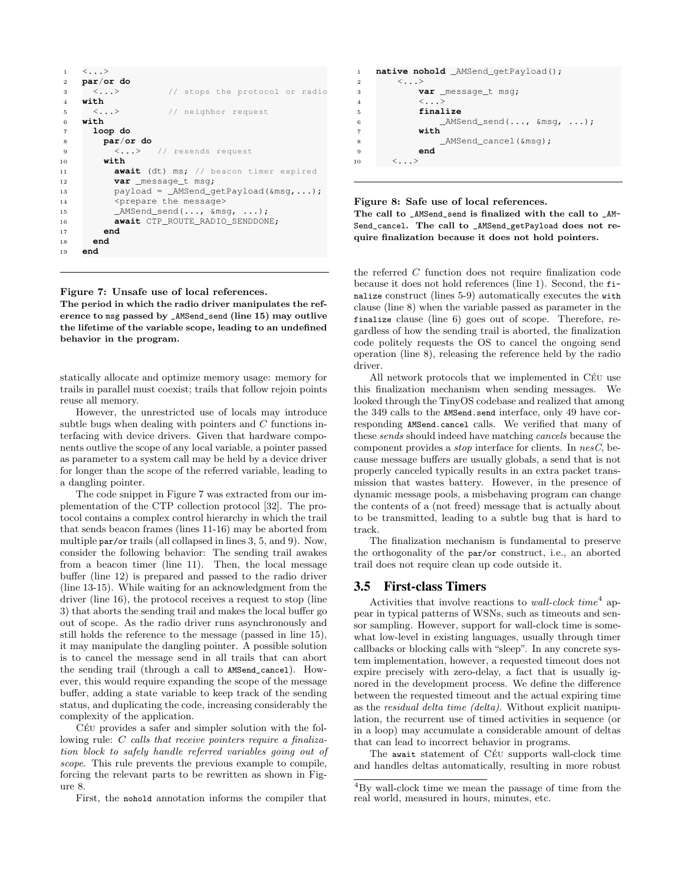```
1 \leq \ldots >2 par/or do
3 <...> // stops the protocol or radio
4 with
5 <...> // neighbor request
6 with
7 loop do
8 par/or do
9 <...> // resends request
10 with
11 await (dt) ms; // beacon timer expired
12 var _message_t msg;
13 payload = _AMSend_getPayload(&msg,...);
14 <br />
<br />
<br />
<br />
<br />
<br />
<br />
<br />
<br />
<br />
<br />
<br />
<br />
<br />
<br />
<br />
<br />
<br />
<br />
<br />
<br />
<br />
<br />
<br />
<br />
<br />
<br />
<br />
<br />
<br />
<br />
<b
15 _AMSend_send(..., &msg, ...);
16 await CTP_ROUTE_RADIO_SENDDONE;
17 end
18 end
19 end
```
#### Figure 7: Unsafe use of local references.

The period in which the radio driver manipulates the reference to msg passed by \_AMSend\_send (line 15) may outlive the lifetime of the variable scope, leading to an undefined behavior in the program.

statically allocate and optimize memory usage: memory for trails in parallel must coexist; trails that follow rejoin points reuse all memory.

However, the unrestricted use of locals may introduce subtle bugs when dealing with pointers and  $C$  functions interfacing with device drivers. Given that hardware components outlive the scope of any local variable, a pointer passed as parameter to a system call may be held by a device driver for longer than the scope of the referred variable, leading to a dangling pointer.

The code snippet in Figure 7 was extracted from our implementation of the CTP collection protocol [32]. The protocol contains a complex control hierarchy in which the trail that sends beacon frames (lines 11-16) may be aborted from multiple par/or trails (all collapsed in lines 3, 5, and 9). Now, consider the following behavior: The sending trail awakes from a beacon timer (line 11). Then, the local message buffer (line 12) is prepared and passed to the radio driver (line 13-15). While waiting for an acknowledgment from the driver (line 16), the protocol receives a request to stop (line 3) that aborts the sending trail and makes the local buffer go out of scope. As the radio driver runs asynchronously and still holds the reference to the message (passed in line 15), it may manipulate the dangling pointer. A possible solution is to cancel the message send in all trails that can abort the sending trail (through a call to AMSend\_cancel). However, this would require expanding the scope of the message buffer, adding a state variable to keep track of the sending status, and duplicating the code, increasing considerably the complexity of the application.

CEU provides a safer and simpler solution with the following rule: C calls that receive pointers require a finalization block to safely handle referred variables going out of scope. This rule prevents the previous example to compile, forcing the relevant parts to be rewritten as shown in Figure 8.

First, the nohold annotation informs the compiler that

```
1 native nohold _AMSend_getPayload();
2 \langle \ldots \rangle3 var _message_t msg;
4 \leq \ldots >5 finalize
6 _AMSend_send(..., &msg, ...);
7 with
8 _AMSend_cancel(&msg);
9 end
10 \qquad \qquad \langle . . . \rangle
```
#### Figure 8: Safe use of local references.

The call to \_AMSend\_send is finalized with the call to \_AM-Send\_cancel. The call to \_AMSend\_getPayload does not require finalization because it does not hold pointers.

the referred C function does not require finalization code because it does not hold references (line 1). Second, the finalize construct (lines 5-9) automatically executes the with clause (line 8) when the variable passed as parameter in the finalize clause (line 6) goes out of scope. Therefore, regardless of how the sending trail is aborted, the finalization code politely requests the OS to cancel the ongoing send operation (line 8), releasing the reference held by the radio driver.

All network protocols that we implemented in CEU use this finalization mechanism when sending messages. We looked through the TinyOS codebase and realized that among the 349 calls to the AMSend.send interface, only 49 have corresponding AMSend.cancel calls. We verified that many of these sends should indeed have matching cancels because the component provides a stop interface for clients. In nesC, because message buffers are usually globals, a send that is not properly canceled typically results in an extra packet transmission that wastes battery. However, in the presence of dynamic message pools, a misbehaving program can change the contents of a (not freed) message that is actually about to be transmitted, leading to a subtle bug that is hard to track.

The finalization mechanism is fundamental to preserve the orthogonality of the par/or construct, i.e., an aborted trail does not require clean up code outside it.

#### 3.5 First-class Timers

Activities that involve reactions to *wall-clock*  $time^4$  appear in typical patterns of WSNs, such as timeouts and sensor sampling. However, support for wall-clock time is somewhat low-level in existing languages, usually through timer callbacks or blocking calls with "sleep". In any concrete system implementation, however, a requested timeout does not expire precisely with zero-delay, a fact that is usually ignored in the development process. We define the difference between the requested timeout and the actual expiring time as the residual delta time (delta). Without explicit manipulation, the recurrent use of timed activities in sequence (or in a loop) may accumulate a considerable amount of deltas that can lead to incorrect behavior in programs.

The await statement of CÉU supports wall-clock time and handles deltas automatically, resulting in more robust

<sup>4</sup>By wall-clock time we mean the passage of time from the real world, measured in hours, minutes, etc.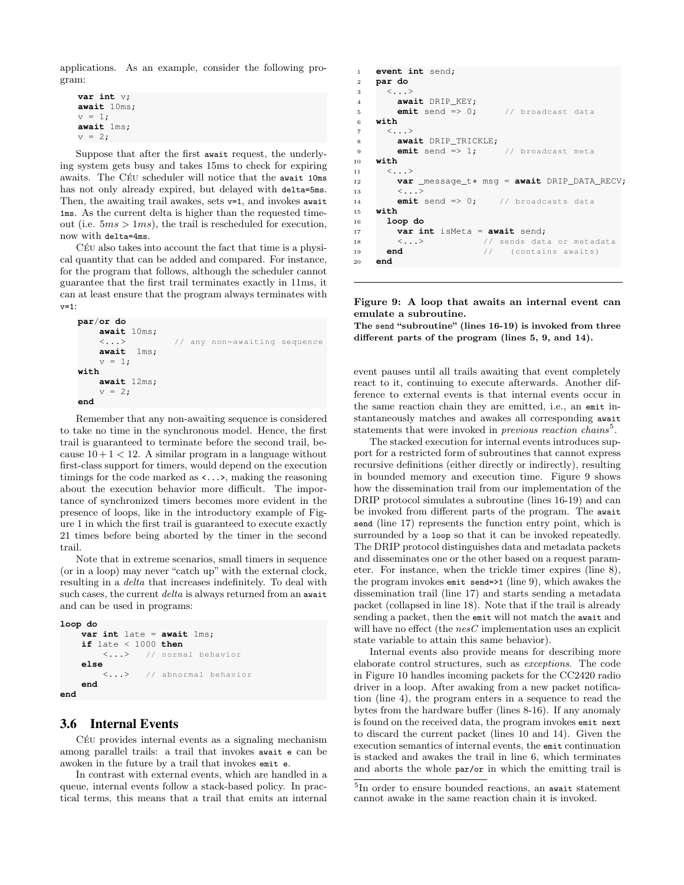applications. As an example, consider the following program:

| var int $v$ ;  |  |
|----------------|--|
| await $10ms$ ; |  |
| $v = 1:$       |  |
| await 1ms;     |  |
| $v = 2:$       |  |

Suppose that after the first await request, the underlying system gets busy and takes 15ms to check for expiring awaits. The CÉU scheduler will notice that the await 10ms has not only already expired, but delayed with delta=5ms. Then, the awaiting trail awakes, sets  $v=1$ , and invokes await 1ms. As the current delta is higher than the requested timeout (i.e.  $5ms > 1ms$ ), the trail is rescheduled for execution, now with delta=4ms.

C<sub>EU</sub> also takes into account the fact that time is a physical quantity that can be added and compared. For instance, for the program that follows, although the scheduler cannot guarantee that the first trail terminates exactly in 11ms, it can at least ensure that the program always terminates with v=1:

```
par/or do
   await 10ms;
    <...> // any non−awaiting sequence
   await 1ms;
   v = 1;with
   await 12ms;
   v = 2;end
```
Remember that any non-awaiting sequence is considered to take no time in the synchronous model. Hence, the first trail is guaranteed to terminate before the second trail, because  $10 + 1 < 12$ . A similar program in a language without first-class support for timers, would depend on the execution timings for the code marked as <...>, making the reasoning about the execution behavior more difficult. The importance of synchronized timers becomes more evident in the presence of loops, like in the introductory example of Figure 1 in which the first trail is guaranteed to execute exactly 21 times before being aborted by the timer in the second trail.

Note that in extreme scenarios, small timers in sequence (or in a loop) may never "catch up" with the external clock, resulting in a delta that increases indefinitely. To deal with such cases, the current delta is always returned from an await and can be used in programs:

```
loop do
    var int late = await 1ms;
    if late < 1000 then
        <...> // normal behavior
    else
        <...> // abnormal behavior
    end
end
```
#### 3.6 Internal Events

C<sub>EU</sub> provides internal events as a signaling mechanism among parallel trails: a trail that invokes await e can be awoken in the future by a trail that invokes emit e.

In contrast with external events, which are handled in a queue, internal events follow a stack-based policy. In practical terms, this means that a trail that emits an internal

```
1 event int send;
2 par do
3 \leq \ldots4 await DRIP_KEY;
5 emit send => 0; // broadcast data
6 with
7 \leq \ldots8 await DRIP_TRICKLE;
9 emit send => 1; // broadcast meta
10 with
11 \leq \ldots12 var _message_t∗ msg = await DRIP_DATA_RECV;
13 \langle ... \rangle<br>14 emit send => 0;
14 emit send \Rightarrow 0: // broadcasts data
15 with
16 loop do
17 var int isMeta = await send;
18 <...> // sends data or metadata
19 end // (contains awaits)
20 end
```

| Figure 9: A loop that awaits an internal event can |  |  |  |  |
|----------------------------------------------------|--|--|--|--|
| emulate a subroutine.                              |  |  |  |  |

The send "subroutine" (lines 16-19) is invoked from three different parts of the program (lines 5, 9, and 14).

event pauses until all trails awaiting that event completely react to it, continuing to execute afterwards. Another difference to external events is that internal events occur in the same reaction chain they are emitted, i.e., an emit instantaneously matches and awakes all corresponding await statements that were invoked in *previous reaction chains*<sup>5</sup>.

The stacked execution for internal events introduces support for a restricted form of subroutines that cannot express recursive definitions (either directly or indirectly), resulting in bounded memory and execution time. Figure 9 shows how the dissemination trail from our implementation of the DRIP protocol simulates a subroutine (lines 16-19) and can be invoked from different parts of the program. The await send (line 17) represents the function entry point, which is surrounded by a loop so that it can be invoked repeatedly. The DRIP protocol distinguishes data and metadata packets and disseminates one or the other based on a request parameter. For instance, when the trickle timer expires (line 8), the program invokes emit send=>1 (line 9), which awakes the dissemination trail (line 17) and starts sending a metadata packet (collapsed in line 18). Note that if the trail is already sending a packet, then the emit will not match the await and will have no effect (the  $nesC$  implementation uses an explicit state variable to attain this same behavior).

Internal events also provide means for describing more elaborate control structures, such as exceptions. The code in Figure 10 handles incoming packets for the CC2420 radio driver in a loop. After awaking from a new packet notification (line 4), the program enters in a sequence to read the bytes from the hardware buffer (lines 8-16). If any anomaly is found on the received data, the program invokes emit next to discard the current packet (lines 10 and 14). Given the execution semantics of internal events, the emit continuation is stacked and awakes the trail in line 6, which terminates and aborts the whole par/or in which the emitting trail is

<sup>5</sup> In order to ensure bounded reactions, an await statement cannot awake in the same reaction chain it is invoked.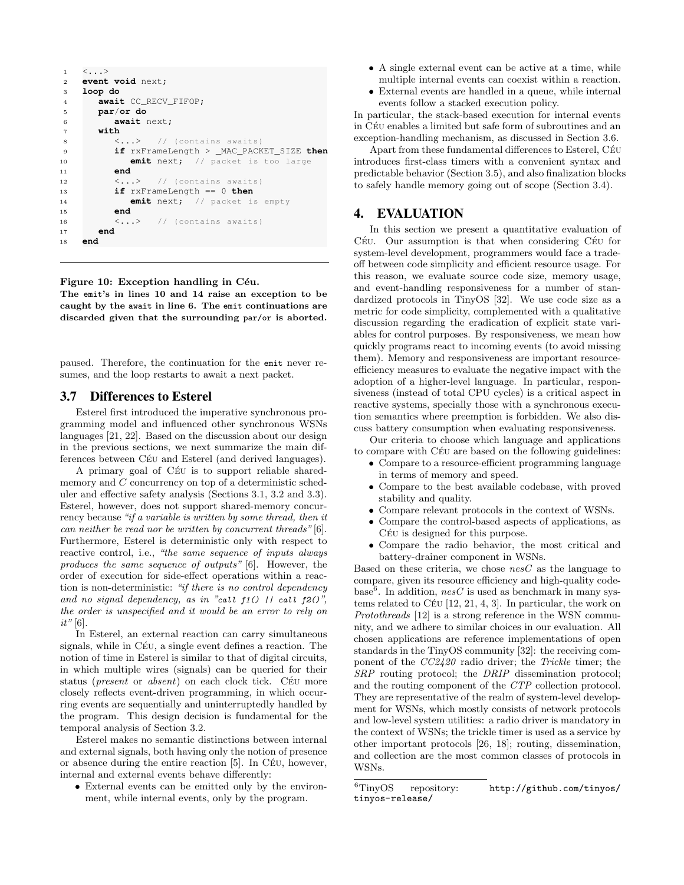```
1 \leq \ldots2 event void next;
3 loop do
4 await CC_RECV_FIFOP;
5 par/or do
6 await next;
7 with
8 <...> // (contains awaits)
9 if rxFrameLength > _MAC_PACKET_SIZE then
10 emit next; // packet is too large
11 end
12 <...> // (contains awaits)
13 if rxFrameLength == 0 then
14 emit next; // packet is empty
15 end
16 \langle \ldots \rangle // (contains awaits)
17 end
18 end
```
Figure 10: Exception handling in Céu.

The emit's in lines 10 and 14 raise an exception to be caught by the await in line 6. The emit continuations are discarded given that the surrounding par/or is aborted.

paused. Therefore, the continuation for the emit never resumes, and the loop restarts to await a next packet.

#### 3.7 Differences to Esterel

Esterel first introduced the imperative synchronous programming model and influenced other synchronous WSNs languages [21, 22]. Based on the discussion about our design in the previous sections, we next summarize the main differences between CÉU and Esterel (and derived languages).

A primary goal of CÉU is to support reliable sharedmemory and C concurrency on top of a deterministic scheduler and effective safety analysis (Sections 3.1, 3.2 and 3.3). Esterel, however, does not support shared-memory concurrency because "if a variable is written by some thread, then it can neither be read nor be written by concurrent threads" [6]. Furthermore, Esterel is deterministic only with respect to reactive control, i.e., "the same sequence of inputs always produces the same sequence of outputs" [6]. However, the order of execution for side-effect operations within a reaction is non-deterministic: "if there is no control dependency and no signal dependency, as in "call  $f1()$   $||$  call  $f2()$ ", the order is unspecified and it would be an error to rely on  $it"$ [6].

In Esterel, an external reaction can carry simultaneous signals, while in C<sub>EU</sub>, a single event defines a reaction. The notion of time in Esterel is similar to that of digital circuits, in which multiple wires (signals) can be queried for their status (*present* or *absent*) on each clock tick. CEU more closely reflects event-driven programming, in which occurring events are sequentially and uninterruptedly handled by the program. This design decision is fundamental for the temporal analysis of Section 3.2.

Esterel makes no semantic distinctions between internal and external signals, both having only the notion of presence or absence during the entire reaction  $[5]$ . In CÉU, however, internal and external events behave differently:

• External events can be emitted only by the environment, while internal events, only by the program.

- A single external event can be active at a time, while multiple internal events can coexist within a reaction.
- External events are handled in a queue, while internal events follow a stacked execution policy.

In particular, the stack-based execution for internal events in CÉU enables a limited but safe form of subroutines and an exception-handling mechanism, as discussed in Section 3.6.

Apart from these fundamental differences to Esterel, CÉU introduces first-class timers with a convenient syntax and predictable behavior (Section 3.5), and also finalization blocks to safely handle memory going out of scope (Section 3.4).

## 4. EVALUATION

In this section we present a quantitative evaluation of CEU. Our assumption is that when considering CEU for system-level development, programmers would face a tradeoff between code simplicity and efficient resource usage. For this reason, we evaluate source code size, memory usage, and event-handling responsiveness for a number of standardized protocols in TinyOS [32]. We use code size as a metric for code simplicity, complemented with a qualitative discussion regarding the eradication of explicit state variables for control purposes. By responsiveness, we mean how quickly programs react to incoming events (to avoid missing them). Memory and responsiveness are important resourceefficiency measures to evaluate the negative impact with the adoption of a higher-level language. In particular, responsiveness (instead of total CPU cycles) is a critical aspect in reactive systems, specially those with a synchronous execution semantics where preemption is forbidden. We also discuss battery consumption when evaluating responsiveness.

Our criteria to choose which language and applications to compare with C<sub>EU</sub> are based on the following guidelines:

- Compare to a resource-efficient programming language in terms of memory and speed.
- Compare to the best available codebase, with proved stability and quality.
- Compare relevant protocols in the context of WSNs.
- Compare the control-based aspects of applications, as  $C$ *ÉU* is designed for this purpose.
- Compare the radio behavior, the most critical and battery-drainer component in WSNs.

Based on these criteria, we chose  $nesC$  as the language to compare, given its resource efficiency and high-quality codebase<sup>6</sup>. In addition, nesC is used as benchmark in many systems related to CÉU  $[12, 21, 4, 3]$ . In particular, the work on Protothreads [12] is a strong reference in the WSN community, and we adhere to similar choices in our evaluation. All chosen applications are reference implementations of open standards in the TinyOS community [32]: the receiving component of the CC2420 radio driver; the Trickle timer; the SRP routing protocol; the DRIP dissemination protocol; and the routing component of the CTP collection protocol. They are representative of the realm of system-level development for WSNs, which mostly consists of network protocols and low-level system utilities: a radio driver is mandatory in the context of WSNs; the trickle timer is used as a service by other important protocols [26, 18]; routing, dissemination, and collection are the most common classes of protocols in WSNs.

<sup>6</sup>TinyOS repository: http://github.com/tinyos/ tinyos-release/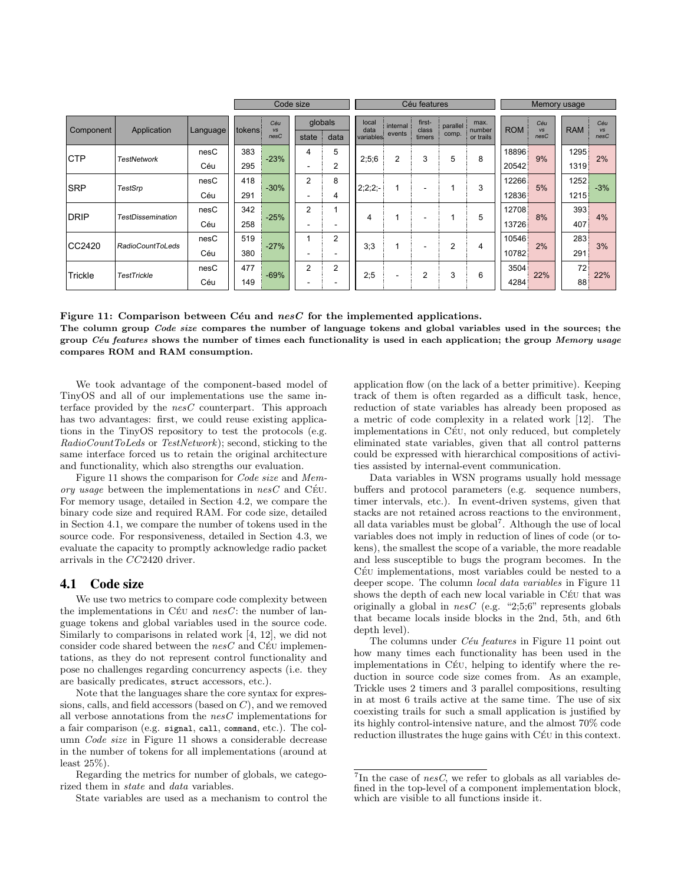|                       |                          |          |         | Code size                |                  | Céu features             |                            |                    |                           |                   | Memory usage                |            |                          |            |                          |    |
|-----------------------|--------------------------|----------|---------|--------------------------|------------------|--------------------------|----------------------------|--------------------|---------------------------|-------------------|-----------------------------|------------|--------------------------|------------|--------------------------|----|
| Component             | Application              | Language | tokens: | Céu<br><b>VS</b><br>nesC | qlobals<br>state | data                     | local<br>data<br>variables | internal<br>events | first-<br>class<br>timers | parallel<br>comp. | max.<br>number<br>or trails | <b>ROM</b> | Céu<br><b>VS</b><br>nesC | <b>RAM</b> | Céu<br><b>VS</b><br>nesC |    |
| <b>CTP</b>            | <b>TestNetwork</b>       | nesC     | 383     | $-23%$                   | 5<br>4           | 2;5;6                    | 2                          | 3                  | 5                         | 8                 | 18896                       | 9%         | 1295                     | 2%         |                          |    |
|                       |                          | Céu      | 295     |                          |                  | 2                        |                            |                    |                           |                   |                             | 20542      |                          | 1319       |                          |    |
| <b>SRP</b><br>TestSrp |                          | nesC     | 418     | $-30%$                   | 2                | 8                        | 2;2;2;                     | 1                  | ۰                         | 1                 | 3                           | 12266      | 5%                       | 1252       | $-3%$                    |    |
|                       |                          | Céu      | 291     |                          |                  | 4                        |                            |                    |                           |                   |                             | 12836      |                          | 1215       |                          |    |
| <b>DRIP</b>           | <b>TestDissemination</b> | nesC     | 342     | $-25%$                   | $\overline{2}$   |                          | 4                          |                    |                           | 4                 | 5                           | 12708      | 8%                       | 393        | 4%                       |    |
|                       |                          | Céu      | 258     |                          |                  | -                        |                            |                    |                           |                   |                             | 13726      |                          | 407        |                          |    |
| CC2420                | RadioCountToLeds         |          | nesC    | 519                      | $-27%$           | 4                        | 2                          | 3:3                |                           | ٠                 | $\overline{2}$              | 4          | 10546                    | 2%         | 283                      | 3% |
|                       |                          | Céu      | 380     |                          |                  | ۰                        |                            |                    |                           |                   |                             | 10782      |                          | 291        |                          |    |
| Trickle               | TestTrickle              | nesC     | 477     | $-69%$                   | 2                | $\overline{2}$           | 2:5                        |                    | 2                         | 3                 | 6                           | 3504       | 22%                      | 72         | 22%                      |    |
|                       |                          | Céu      | 149     |                          |                  | $\overline{\phantom{a}}$ |                            |                    |                           |                   |                             | 4284       |                          | 88         |                          |    |

Figure 11: Comparison between Céu and nesC for the implemented applications.

The column group *Code size* compares the number of language tokens and global variables used in the sources; the group C'eu features shows the number of times each functionality is used in each application; the group Memory usage compares ROM and RAM consumption.

We took advantage of the component-based model of TinyOS and all of our implementations use the same interface provided by the  $nesC$  counterpart. This approach has two advantages: first, we could reuse existing applications in the TinyOS repository to test the protocols (e.g. RadioCountToLeds or TestNetwork); second, sticking to the same interface forced us to retain the original architecture and functionality, which also strengths our evaluation.

Figure 11 shows the comparison for Code size and Memory usage between the implementations in  $nesC$  and CEU. For memory usage, detailed in Section 4.2, we compare the binary code size and required RAM. For code size, detailed in Section 4.1, we compare the number of tokens used in the source code. For responsiveness, detailed in Section 4.3, we evaluate the capacity to promptly acknowledge radio packet arrivals in the CC2420 driver.

#### 4.1 Code size

We use two metrics to compare code complexity between the implementations in C<sub>EU</sub> and nesC: the number of language tokens and global variables used in the source code. Similarly to comparisons in related work [4, 12], we did not consider code shared between the  $nesC$  and CEU implementations, as they do not represent control functionality and pose no challenges regarding concurrency aspects (i.e. they are basically predicates, struct accessors, etc.).

Note that the languages share the core syntax for expressions, calls, and field accessors (based on C), and we removed all verbose annotations from the  $nesC$  implementations for a fair comparison (e.g. signal, call, command, etc.). The column Code size in Figure 11 shows a considerable decrease in the number of tokens for all implementations (around at least 25%).

Regarding the metrics for number of globals, we categorized them in state and data variables.

State variables are used as a mechanism to control the

application flow (on the lack of a better primitive). Keeping track of them is often regarded as a difficult task, hence, reduction of state variables has already been proposed as a metric of code complexity in a related work [12]. The implementations in CÉU, not only reduced, but completely eliminated state variables, given that all control patterns could be expressed with hierarchical compositions of activities assisted by internal-event communication.

Data variables in WSN programs usually hold message buffers and protocol parameters (e.g. sequence numbers, timer intervals, etc.). In event-driven systems, given that stacks are not retained across reactions to the environment, all data variables must be global<sup>7</sup>. Although the use of local variables does not imply in reduction of lines of code (or tokens), the smallest the scope of a variable, the more readable and less susceptible to bugs the program becomes. In the CEU implementations, most variables could be nested to a deeper scope. The column local data variables in Figure 11 shows the depth of each new local variable in C<sub>EU</sub> that was originally a global in  $nesC$  (e.g. "2;5;6" represents globals that became locals inside blocks in the 2nd, 5th, and 6th depth level).

The columns under *Céu features* in Figure 11 point out how many times each functionality has been used in the implementations in CÉU, helping to identify where the reduction in source code size comes from. As an example, Trickle uses 2 timers and 3 parallel compositions, resulting in at most 6 trails active at the same time. The use of six coexisting trails for such a small application is justified by its highly control-intensive nature, and the almost 70% code reduction illustrates the huge gains with CEU in this context.

<sup>&</sup>lt;sup>7</sup>In the case of *nesC*, we refer to globals as all variables defined in the top-level of a component implementation block, which are visible to all functions inside it.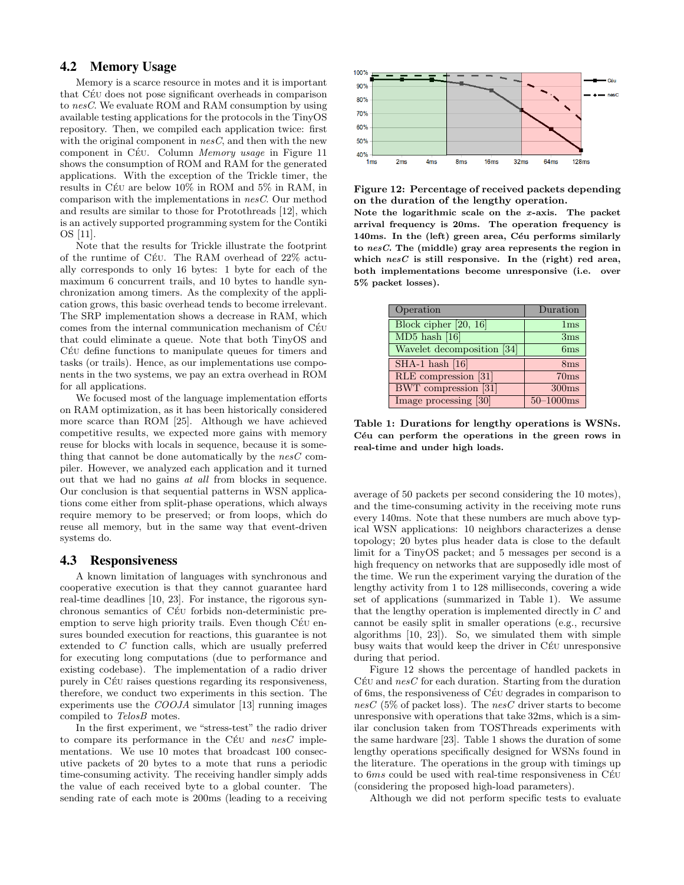### 4.2 Memory Usage

Memory is a scarce resource in motes and it is important that Céu does not pose significant overheads in comparison to nesC. We evaluate ROM and RAM consumption by using available testing applications for the protocols in the TinyOS repository. Then, we compiled each application twice: first with the original component in  $nesC$ , and then with the new component in CÉU. Column Memory usage in Figure 11 shows the consumption of ROM and RAM for the generated applications. With the exception of the Trickle timer, the results in CÉU are below  $10\%$  in ROM and 5% in RAM, in comparison with the implementations in nesC. Our method and results are similar to those for Protothreads [12], which is an actively supported programming system for the Contiki OS [11].

Note that the results for Trickle illustrate the footprint of the runtime of CÉU. The RAM overhead of  $22\%$  actually corresponds to only 16 bytes: 1 byte for each of the maximum 6 concurrent trails, and 10 bytes to handle synchronization among timers. As the complexity of the application grows, this basic overhead tends to become irrelevant. The SRP implementation shows a decrease in RAM, which comes from the internal communication mechanism of  $C$ *É* $U$ that could eliminate a queue. Note that both TinyOS and CEU define functions to manipulate queues for timers and tasks (or trails). Hence, as our implementations use components in the two systems, we pay an extra overhead in ROM for all applications.

We focused most of the language implementation efforts on RAM optimization, as it has been historically considered more scarce than ROM [25]. Although we have achieved competitive results, we expected more gains with memory reuse for blocks with locals in sequence, because it is something that cannot be done automatically by the  $nesC$  compiler. However, we analyzed each application and it turned out that we had no gains at all from blocks in sequence. Our conclusion is that sequential patterns in WSN applications come either from split-phase operations, which always require memory to be preserved; or from loops, which do reuse all memory, but in the same way that event-driven systems do.

#### 4.3 Responsiveness

A known limitation of languages with synchronous and cooperative execution is that they cannot guarantee hard real-time deadlines [10, 23]. For instance, the rigorous synchronous semantics of C<sub>EU</sub> forbids non-deterministic preemption to serve high priority trails. Even though CEU ensures bounded execution for reactions, this guarantee is not extended to C function calls, which are usually preferred for executing long computations (due to performance and existing codebase). The implementation of a radio driver purely in Céu raises questions regarding its responsiveness, therefore, we conduct two experiments in this section. The experiments use the COOJA simulator [13] running images compiled to TelosB motes.

In the first experiment, we "stress-test" the radio driver to compare its performance in the CEU and  $nesC$  implementations. We use 10 motes that broadcast 100 consecutive packets of 20 bytes to a mote that runs a periodic time-consuming activity. The receiving handler simply adds the value of each received byte to a global counter. The sending rate of each mote is 200ms (leading to a receiving



Figure 12: Percentage of received packets depending on the duration of the lengthy operation.

Note the logarithmic scale on the  $x$ -axis. The packet arrival frequency is 20ms. The operation frequency is  $140$ ms. In the  $(left)$  green area, Céu performs similarly to nesC. The (middle) gray area represents the region in which  $nesC$  is still responsive. In the (right) red area, both implementations become unresponsive (i.e. over 5% packet losses).

| Operation                  | Duration          |
|----------------------------|-------------------|
| Block cipher $[20, 16]$    | 1 <sub>ms</sub>   |
| $MD5$ hash [16]            | 3ms               |
| Wavelet decomposition [34] | 6ms               |
| SHA-1 hash $[16]$          | 8ms               |
| RLE compression [31]       | 70 <sub>ms</sub>  |
| BWT compression [31]       | 300 <sub>ms</sub> |
| Image processing [30]      | $50 - 1000$ ms    |

Table 1: Durations for lengthy operations is WSNs. Céu can perform the operations in the green rows in real-time and under high loads.

average of 50 packets per second considering the 10 motes), and the time-consuming activity in the receiving mote runs every 140ms. Note that these numbers are much above typical WSN applications: 10 neighbors characterizes a dense topology; 20 bytes plus header data is close to the default limit for a TinyOS packet; and 5 messages per second is a high frequency on networks that are supposedly idle most of the time. We run the experiment varying the duration of the lengthy activity from 1 to 128 milliseconds, covering a wide set of applications (summarized in Table 1). We assume that the lengthy operation is implemented directly in C and cannot be easily split in smaller operations (e.g., recursive algorithms [10, 23]). So, we simulated them with simple busy waits that would keep the driver in CEU unresponsive during that period.

Figure 12 shows the percentage of handled packets in  $C$ <sub>E</sub>U and nesC for each duration. Starting from the duration of 6ms, the responsiveness of CÉU degrades in comparison to nesC (5\%) of packet loss). The nesC driver starts to become unresponsive with operations that take 32ms, which is a similar conclusion taken from TOSThreads experiments with the same hardware [23]. Table 1 shows the duration of some lengthy operations specifically designed for WSNs found in the literature. The operations in the group with timings up to  $6ms$  could be used with real-time responsiveness in CEU (considering the proposed high-load parameters).

Although we did not perform specific tests to evaluate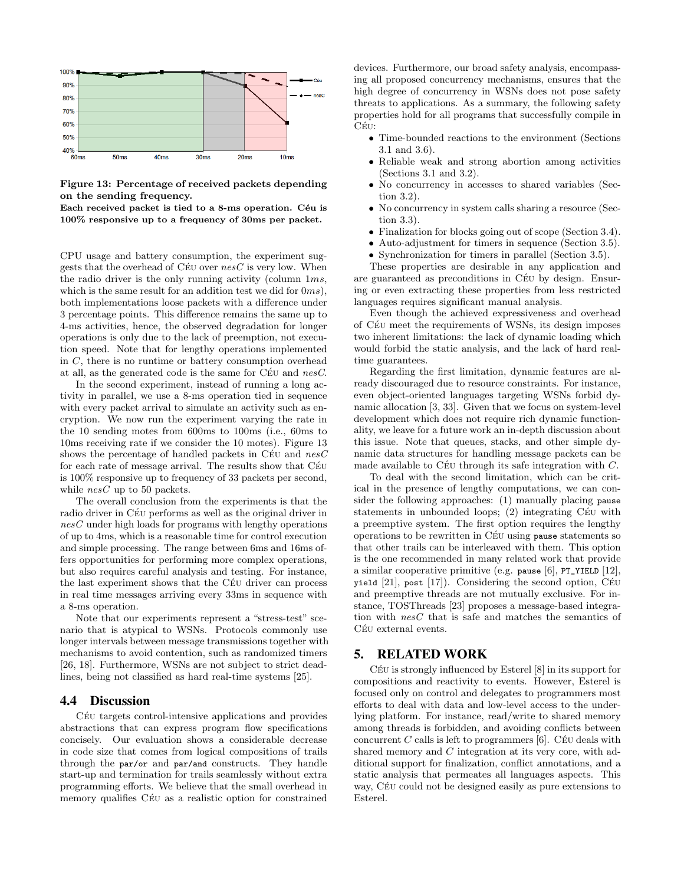

Figure 13: Percentage of received packets depending on the sending frequency.

Each received packet is tied to a 8-ms operation. Céu is 100% responsive up to a frequency of 30ms per packet.

CPU usage and battery consumption, the experiment suggests that the overhead of  $C\text{\text{EU}}$  over nesC is very low. When the radio driver is the only running activity (column 1ms, which is the same result for an addition test we did for  $0ms$ ), both implementations loose packets with a difference under 3 percentage points. This difference remains the same up to 4-ms activities, hence, the observed degradation for longer operations is only due to the lack of preemption, not execution speed. Note that for lengthy operations implemented in  $C$ , there is no runtime or battery consumption overhead at all, as the generated code is the same for  $C$ EU and nesC.

In the second experiment, instead of running a long activity in parallel, we use a 8-ms operation tied in sequence with every packet arrival to simulate an activity such as encryption. We now run the experiment varying the rate in the 10 sending motes from 600ms to 100ms (i.e., 60ms to 10ms receiving rate if we consider the 10 motes). Figure 13 shows the percentage of handled packets in CÉU and  $nesC$ for each rate of message arrival. The results show that  $C$   $E$ <sup>U</sup> is 100% responsive up to frequency of 33 packets per second, while  $nesC$  up to 50 packets.

The overall conclusion from the experiments is that the radio driver in C<sub>EU</sub> performs as well as the original driver in nesC under high loads for programs with lengthy operations of up to 4ms, which is a reasonable time for control execution and simple processing. The range between 6ms and 16ms offers opportunities for performing more complex operations, but also requires careful analysis and testing. For instance, the last experiment shows that the CEU driver can process in real time messages arriving every 33ms in sequence with a 8-ms operation.

Note that our experiments represent a "stress-test" scenario that is atypical to WSNs. Protocols commonly use longer intervals between message transmissions together with mechanisms to avoid contention, such as randomized timers [26, 18]. Furthermore, WSNs are not subject to strict deadlines, being not classified as hard real-time systems [25].

#### 4.4 Discussion

C<sub>EU</sub> targets control-intensive applications and provides abstractions that can express program flow specifications concisely. Our evaluation shows a considerable decrease in code size that comes from logical compositions of trails through the par/or and par/and constructs. They handle start-up and termination for trails seamlessly without extra programming efforts. We believe that the small overhead in memory qualifies CÉU as a realistic option for constrained devices. Furthermore, our broad safety analysis, encompassing all proposed concurrency mechanisms, ensures that the high degree of concurrency in WSNs does not pose safety threats to applications. As a summary, the following safety properties hold for all programs that successfully compile in Céu:

- Time-bounded reactions to the environment (Sections 3.1 and 3.6).
- Reliable weak and strong abortion among activities (Sections 3.1 and 3.2).
- No concurrency in accesses to shared variables (Section 3.2).
- No concurrency in system calls sharing a resource (Section 3.3).
- Finalization for blocks going out of scope (Section 3.4).
- Auto-adjustment for timers in sequence (Section 3.5).
- Synchronization for timers in parallel (Section 3.5).

These properties are desirable in any application and are guaranteed as preconditions in CÉU by design. Ensuring or even extracting these properties from less restricted languages requires significant manual analysis.

Even though the achieved expressiveness and overhead of Céu meet the requirements of WSNs, its design imposes two inherent limitations: the lack of dynamic loading which would forbid the static analysis, and the lack of hard realtime guarantees.

Regarding the first limitation, dynamic features are already discouraged due to resource constraints. For instance, even object-oriented languages targeting WSNs forbid dynamic allocation [3, 33]. Given that we focus on system-level development which does not require rich dynamic functionality, we leave for a future work an in-depth discussion about this issue. Note that queues, stacks, and other simple dynamic data structures for handling message packets can be made available to  $C\acute{\rm e}\nu$  through its safe integration with  $C$ .

To deal with the second limitation, which can be critical in the presence of lengthy computations, we can consider the following approaches: (1) manually placing pause statements in unbounded loops;  $(2)$  integrating CEU with a preemptive system. The first option requires the lengthy operations to be rewritten in CÉU using pause statements so that other trails can be interleaved with them. This option is the one recommended in many related work that provide a similar cooperative primitive (e.g. pause [6], PT\_YIELD [12], yield  $[21]$ , post  $[17]$ ). Considering the second option, CÉU and preemptive threads are not mutually exclusive. For instance, TOSThreads [23] proposes a message-based integration with nesC that is safe and matches the semantics of C<sub>EU</sub> external events.

## 5. RELATED WORK

 $C$ *EU* is strongly influenced by Esterel  $[8]$  in its support for compositions and reactivity to events. However, Esterel is focused only on control and delegates to programmers most efforts to deal with data and low-level access to the underlying platform. For instance, read/write to shared memory among threads is forbidden, and avoiding conflicts between concurrent  $C$  calls is left to programmers [6]. CEU deals with shared memory and C integration at its very core, with additional support for finalization, conflict annotations, and a static analysis that permeates all languages aspects. This way, C<sub>EU</sub> could not be designed easily as pure extensions to Esterel.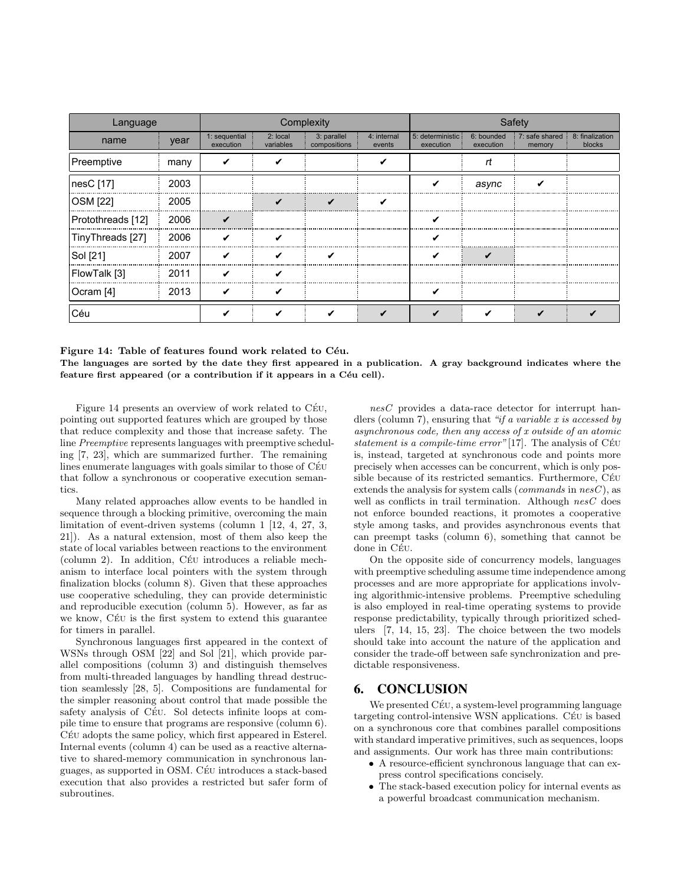| Language          |      |                            | Complexity            |                             | Safety                |                                 |                         |                          |                                |
|-------------------|------|----------------------------|-----------------------|-----------------------------|-----------------------|---------------------------------|-------------------------|--------------------------|--------------------------------|
| name              | year | 1: sequential<br>execution | 2: local<br>variables | 3: parallel<br>compositions | 4: internal<br>events | 5: deterministic :<br>execution | 6: bounded<br>execution | 7: safe shared<br>memory | 8: finalization<br>и<br>blocks |
| Preemptive        | many |                            |                       |                             |                       |                                 | rt                      |                          |                                |
| nesC [17]         | 2003 |                            |                       |                             |                       |                                 | async                   |                          |                                |
| OSM [22]          | 2005 |                            |                       |                             |                       |                                 |                         |                          |                                |
| Protothreads [12] | 2006 |                            |                       |                             |                       |                                 |                         |                          |                                |
| TinyThreads [27]  | 2006 |                            |                       |                             |                       |                                 |                         |                          |                                |
| Sol [21]          | 2007 |                            |                       |                             |                       |                                 |                         |                          |                                |
| FlowTalk [3]      | 2011 |                            |                       |                             |                       |                                 |                         |                          |                                |
| Ocram [4]         | 2013 |                            |                       |                             |                       |                                 |                         |                          |                                |
| Céu               |      |                            |                       |                             |                       |                                 |                         |                          |                                |

Figure 14: Table of features found work related to Céu.

The languages are sorted by the date they first appeared in a publication. A gray background indicates where the feature first appeared (or a contribution if it appears in a Céu cell).

Figure 14 presents an overview of work related to  $C\&i$ . pointing out supported features which are grouped by those that reduce complexity and those that increase safety. The line Preemptive represents languages with preemptive scheduling [7, 23], which are summarized further. The remaining lines enumerate languages with goals similar to those of  $C$ *É*U that follow a synchronous or cooperative execution semantics.

Many related approaches allow events to be handled in sequence through a blocking primitive, overcoming the main limitation of event-driven systems (column 1 [12, 4, 27, 3, 21]). As a natural extension, most of them also keep the state of local variables between reactions to the environment (column 2). In addition,  $C\not\in U$  introduces a reliable mechanism to interface local pointers with the system through finalization blocks (column 8). Given that these approaches use cooperative scheduling, they can provide deterministic and reproducible execution (column 5). However, as far as we know, CEU is the first system to extend this guarantee for timers in parallel.

Synchronous languages first appeared in the context of WSNs through OSM [22] and Sol [21], which provide parallel compositions (column 3) and distinguish themselves from multi-threaded languages by handling thread destruction seamlessly [28, 5]. Compositions are fundamental for the simpler reasoning about control that made possible the safety analysis of CÉU. Sol detects infinite loops at compile time to ensure that programs are responsive (column 6). CEU adopts the same policy, which first appeared in Esterel. Internal events (column 4) can be used as a reactive alternative to shared-memory communication in synchronous languages, as supported in OSM. CÉU introduces a stack-based execution that also provides a restricted but safer form of subroutines.

nesC provides a data-race detector for interrupt handlers (column 7), ensuring that "if a variable x is accessed by asynchronous code, then any access of x outside of an atomic statement is a compile-time error" [17]. The analysis of  $C$  EU is, instead, targeted at synchronous code and points more precisely when accesses can be concurrent, which is only possible because of its restricted semantics. Furthermore, CÉU extends the analysis for system calls (*commands* in  $nesC$ ), as well as conflicts in trail termination. Although  $nesC$  does not enforce bounded reactions, it promotes a cooperative style among tasks, and provides asynchronous events that can preempt tasks (column 6), something that cannot be done in CÉU.

On the opposite side of concurrency models, languages with preemptive scheduling assume time independence among processes and are more appropriate for applications involving algorithmic-intensive problems. Preemptive scheduling is also employed in real-time operating systems to provide response predictability, typically through prioritized schedulers [7, 14, 15, 23]. The choice between the two models should take into account the nature of the application and consider the trade-off between safe synchronization and predictable responsiveness.

## 6. CONCLUSION

We presented CÉU, a system-level programming language targeting control-intensive WSN applications. CEU is based on a synchronous core that combines parallel compositions with standard imperative primitives, such as sequences, loops and assignments. Our work has three main contributions:

- A resource-efficient synchronous language that can express control specifications concisely.
- The stack-based execution policy for internal events as a powerful broadcast communication mechanism.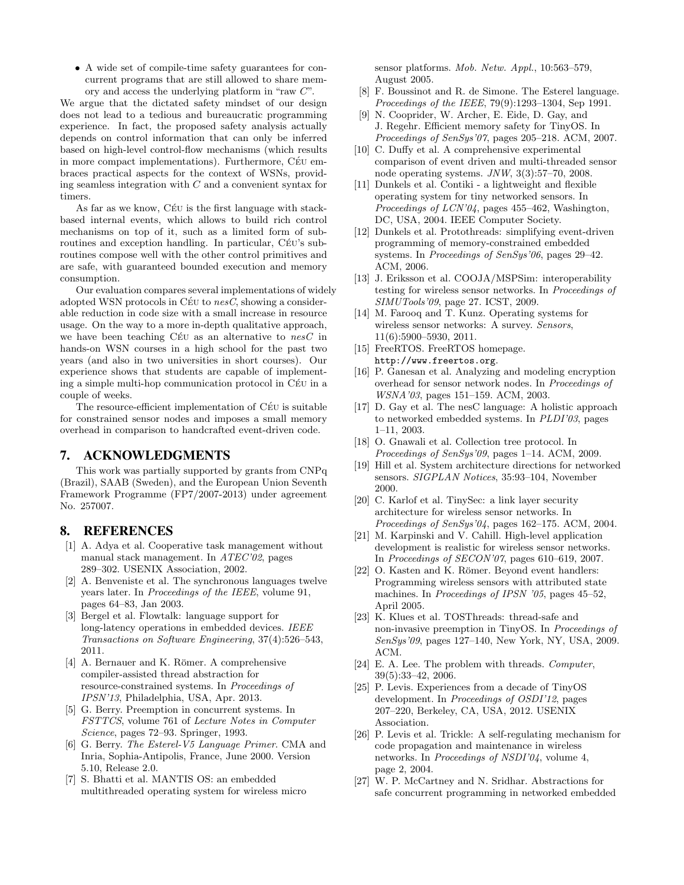• A wide set of compile-time safety guarantees for concurrent programs that are still allowed to share memory and access the underlying platform in "raw C".

We argue that the dictated safety mindset of our design does not lead to a tedious and bureaucratic programming experience. In fact, the proposed safety analysis actually depends on control information that can only be inferred based on high-level control-flow mechanisms (which results in more compact implementations). Furthermore, CEU embraces practical aspects for the context of WSNs, providing seamless integration with  $C$  and a convenient syntax for timers.

As far as we know, CEU is the first language with stackbased internal events, which allows to build rich control mechanisms on top of it, such as a limited form of subroutines and exception handling. In particular, CÉU's subroutines compose well with the other control primitives and are safe, with guaranteed bounded execution and memory consumption.

Our evaluation compares several implementations of widely adopted WSN protocols in Céu to nesC, showing a considerable reduction in code size with a small increase in resource usage. On the way to a more in-depth qualitative approach, we have been teaching CEU as an alternative to  $nesC$  in hands-on WSN courses in a high school for the past two years (and also in two universities in short courses). Our experience shows that students are capable of implementing a simple multi-hop communication protocol in C<sub>EU</sub> in a couple of weeks.

The resource-efficient implementation of CÉU is suitable for constrained sensor nodes and imposes a small memory overhead in comparison to handcrafted event-driven code.

#### 7. ACKNOWLEDGMENTS

This work was partially supported by grants from CNPq (Brazil), SAAB (Sweden), and the European Union Seventh Framework Programme (FP7/2007-2013) under agreement No. 257007.

## 8. REFERENCES

- [1] A. Adya et al. Cooperative task management without manual stack management. In ATEC'02, pages 289–302. USENIX Association, 2002.
- [2] A. Benveniste et al. The synchronous languages twelve years later. In Proceedings of the IEEE, volume 91, pages 64–83, Jan 2003.
- [3] Bergel et al. Flowtalk: language support for long-latency operations in embedded devices. IEEE Transactions on Software Engineering, 37(4):526–543, 2011.
- [4] A. Bernauer and K. Römer. A comprehensive compiler-assisted thread abstraction for resource-constrained systems. In Proceedings of IPSN'13, Philadelphia, USA, Apr. 2013.
- [5] G. Berry. Preemption in concurrent systems. In FSTTCS, volume 761 of Lecture Notes in Computer Science, pages 72–93. Springer, 1993.
- [6] G. Berry. The Esterel-V5 Language Primer. CMA and Inria, Sophia-Antipolis, France, June 2000. Version 5.10, Release 2.0.
- [7] S. Bhatti et al. MANTIS OS: an embedded multithreaded operating system for wireless micro

sensor platforms. Mob. Netw. Appl., 10:563–579, August 2005.

- [8] F. Boussinot and R. de Simone. The Esterel language. Proceedings of the IEEE, 79(9):1293–1304, Sep 1991.
- [9] N. Cooprider, W. Archer, E. Eide, D. Gay, and J. Regehr. Efficient memory safety for TinyOS. In Proceedings of SenSys'07, pages 205–218. ACM, 2007.
- [10] C. Duffy et al. A comprehensive experimental comparison of event driven and multi-threaded sensor node operating systems. JNW, 3(3):57–70, 2008.
- [11] Dunkels et al. Contiki a lightweight and flexible operating system for tiny networked sensors. In Proceedings of LCN'04, pages 455-462, Washington, DC, USA, 2004. IEEE Computer Society.
- [12] Dunkels et al. Protothreads: simplifying event-driven programming of memory-constrained embedded systems. In Proceedings of SenSys'06, pages 29–42. ACM, 2006.
- [13] J. Eriksson et al. COOJA/MSPSim: interoperability testing for wireless sensor networks. In Proceedings of SIMUTools'09, page 27. ICST, 2009.
- [14] M. Farooq and T. Kunz. Operating systems for wireless sensor networks: A survey. Sensors, 11(6):5900–5930, 2011.
- [15] FreeRTOS. FreeRTOS homepage. http://www.freertos.org.
- [16] P. Ganesan et al. Analyzing and modeling encryption overhead for sensor network nodes. In Proceedings of WSNA'03, pages 151–159. ACM, 2003.
- [17] D. Gay et al. The nesC language: A holistic approach to networked embedded systems. In PLDI'03, pages 1–11, 2003.
- [18] O. Gnawali et al. Collection tree protocol. In Proceedings of SenSys'09, pages  $1-14$ . ACM, 2009.
- [19] Hill et al. System architecture directions for networked sensors. SIGPLAN Notices, 35:93–104, November 2000.
- [20] C. Karlof et al. TinySec: a link layer security architecture for wireless sensor networks. In Proceedings of  $SenSys'04$ , pages 162–175. ACM, 2004.
- [21] M. Karpinski and V. Cahill. High-level application development is realistic for wireless sensor networks. In Proceedings of SECON'07, pages 610–619, 2007.
- [22] O. Kasten and K. Römer. Beyond event handlers: Programming wireless sensors with attributed state machines. In Proceedings of IPSN '05, pages 45–52, April 2005.
- [23] K. Klues et al. TOSThreads: thread-safe and non-invasive preemption in TinyOS. In Proceedings of SenSys'09, pages 127–140, New York, NY, USA, 2009. ACM.
- [24] E. A. Lee. The problem with threads. Computer, 39(5):33–42, 2006.
- [25] P. Levis. Experiences from a decade of TinyOS development. In Proceedings of OSDI'12, pages 207–220, Berkeley, CA, USA, 2012. USENIX Association.
- [26] P. Levis et al. Trickle: A self-regulating mechanism for code propagation and maintenance in wireless networks. In Proceedings of NSDI'04, volume 4, page 2, 2004.
- [27] W. P. McCartney and N. Sridhar. Abstractions for safe concurrent programming in networked embedded